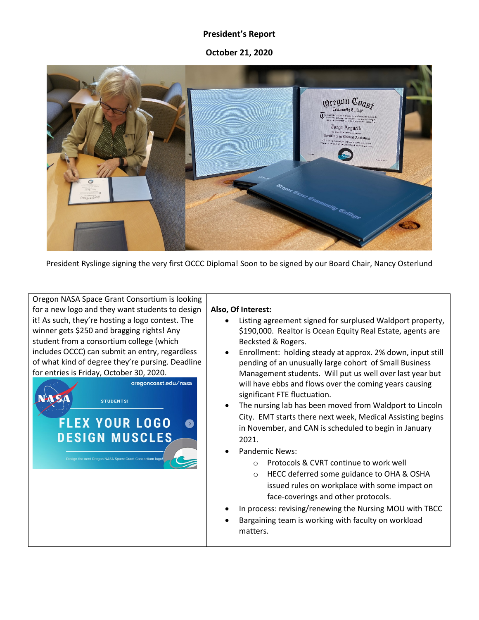## **President's Report**

**October 21, 2020**



President Ryslinge signing the very first OCCC Diploma! Soon to be signed by our Board Chair, Nancy Osterlund

Oregon NASA Space Grant Consortium is looking for a new logo and they want students to design it! As such, they're hosting a logo contest. The winner gets \$250 and bragging rights! Any student from a consortium college (which includes OCCC) can submit an entry, regardless of what kind of degree they're pursing. Deadline for entries is Friday, October 30, 2020.



## **Also, Of Interest:**

- Listing agreement signed for surplused Waldport property, \$190,000. Realtor is Ocean Equity Real Estate, agents are Becksted & Rogers.
- Enrollment: holding steady at approx. 2% down, input still pending of an unusually large cohort of Small Business Management students. Will put us well over last year but will have ebbs and flows over the coming years causing significant FTE fluctuation.
- The nursing lab has been moved from Waldport to Lincoln City. EMT starts there next week, Medical Assisting begins in November, and CAN is scheduled to begin in January 2021.
- Pandemic News:
	- o Protocols & CVRT continue to work well
	- o HECC deferred some guidance to OHA & OSHA issued rules on workplace with some impact on face-coverings and other protocols.
- In process: revising/renewing the Nursing MOU with TBCC
- Bargaining team is working with faculty on workload matters.